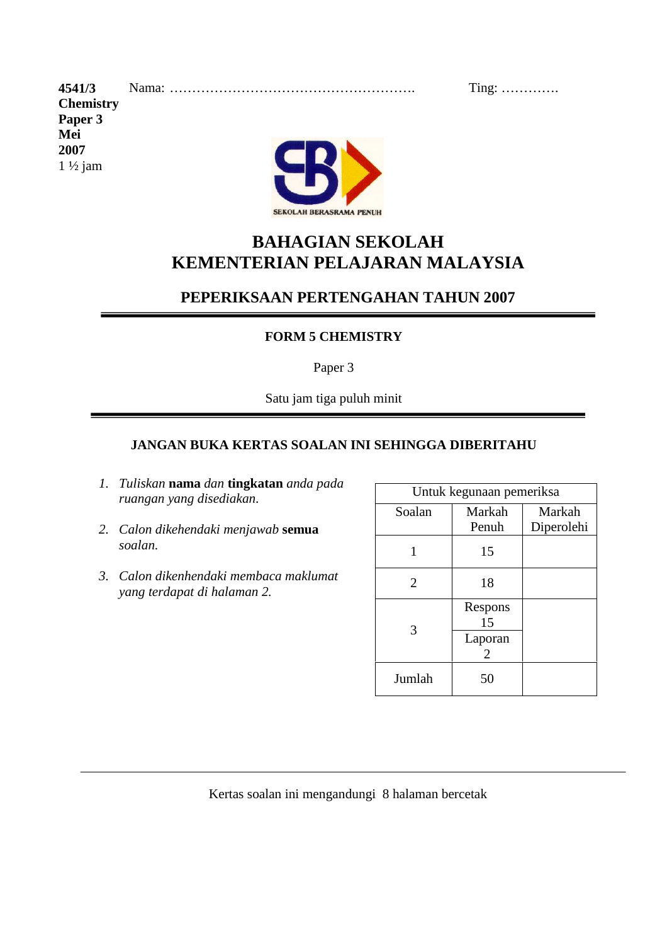Nama: ………………………………………………. Ting: ………….

 **Paper 3**  Mei **4541/3 Chemistry Mei 2007**  1 ½ jam



# **BAHAGIAN SEKOLAH KEMENTERIAN PELAJARAN MALAYSIA**

## **PEPERIKSAAN PERTENGAHAN TAHUN 2007**

#### **FORM 5 CHEMISTRY**

Paper 3

Satu jam tiga puluh minit

#### **JANGAN BUKA KERTAS SOALAN INI SEHINGGA DIBERITAHU**

- *1. Tuliskan* **nama** *dan* **tingkatan** *anda pada ruangan yang disediakan.*
- *2. Calon dikehendaki menjawab* **semua** *soalan.*
- *3. Calon dikenhendaki membaca maklumat yang terdapat di halaman 2.*

|        | Untuk kegunaan pemeriksa |            |  |  |  |
|--------|--------------------------|------------|--|--|--|
| Soalan | Markah                   | Markah     |  |  |  |
|        | Penuh                    | Diperolehi |  |  |  |
|        | 15                       |            |  |  |  |
| 2      | 18                       |            |  |  |  |
|        | Respons                  |            |  |  |  |
| 3      | 15                       |            |  |  |  |
|        | Laporan                  |            |  |  |  |
|        | 2                        |            |  |  |  |
| Jumlah | 50                       |            |  |  |  |

Kertas soalan ini mengandungi 8 halaman bercetak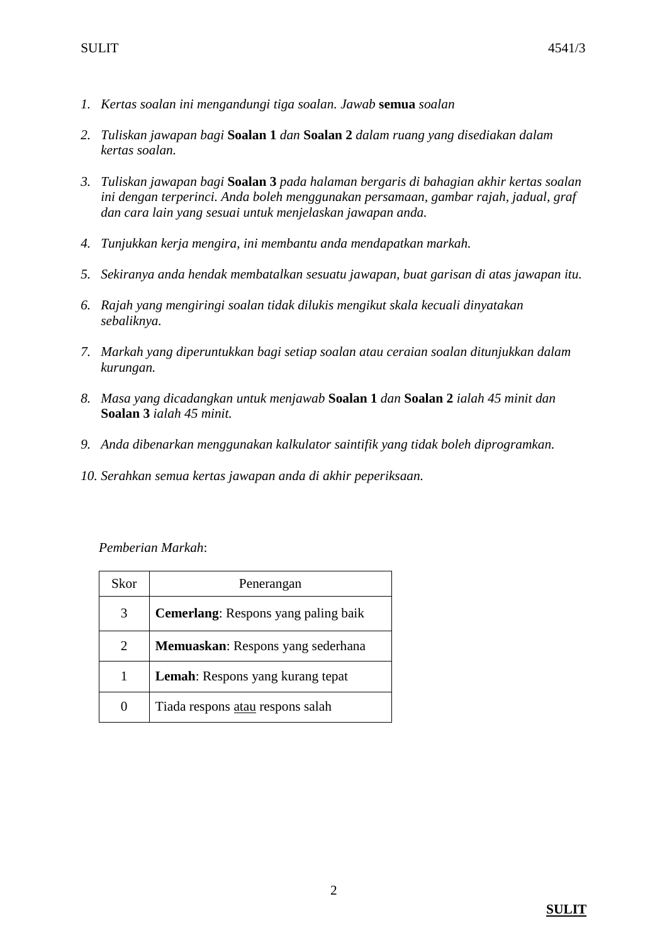- *1. Kertas soalan ini mengandungi tiga soalan. Jawab* **semua** *soalan*
- *2. Tuliskan jawapan bagi* **Soalan 1** *dan* **Soalan 2** *dalam ruang yang disediakan dalam kertas soalan.*
- *3. Tuliskan jawapan bagi* **Soalan 3** *pada halaman bergaris di bahagian akhir kertas soalan ini dengan terperinci. Anda boleh menggunakan persamaan, gambar rajah, jadual, graf dan cara lain yang sesuai untuk menjelaskan jawapan anda.*
- *4. Tunjukkan kerja mengira, ini membantu anda mendapatkan markah.*
- *5. Sekiranya anda hendak membatalkan sesuatu jawapan, buat garisan di atas jawapan itu.*
- *6. Rajah yang mengiringi soalan tidak dilukis mengikut skala kecuali dinyatakan sebaliknya.*
- *7. Markah yang diperuntukkan bagi setiap soalan atau ceraian soalan ditunjukkan dalam kurungan.*
- *8. Masa yang dicadangkan untuk menjawab* **Soalan 1** *dan* **Soalan 2** *ialah 45 minit dan*  **Soalan 3** *ialah 45 minit.*
- *9. Anda dibenarkan menggunakan kalkulator saintifik yang tidak boleh diprogramkan.*
- *10. Serahkan semua kertas jawapan anda di akhir peperiksaan.*

#### *Pemberian Markah*:

| Skor | Penerangan                                 |  |
|------|--------------------------------------------|--|
| 3    | <b>Cemerlang:</b> Respons yang paling baik |  |
| 2    | Memuaskan: Respons yang sederhana          |  |
|      | Lemah: Respons yang kurang tepat           |  |
|      | Tiada respons atau respons salah           |  |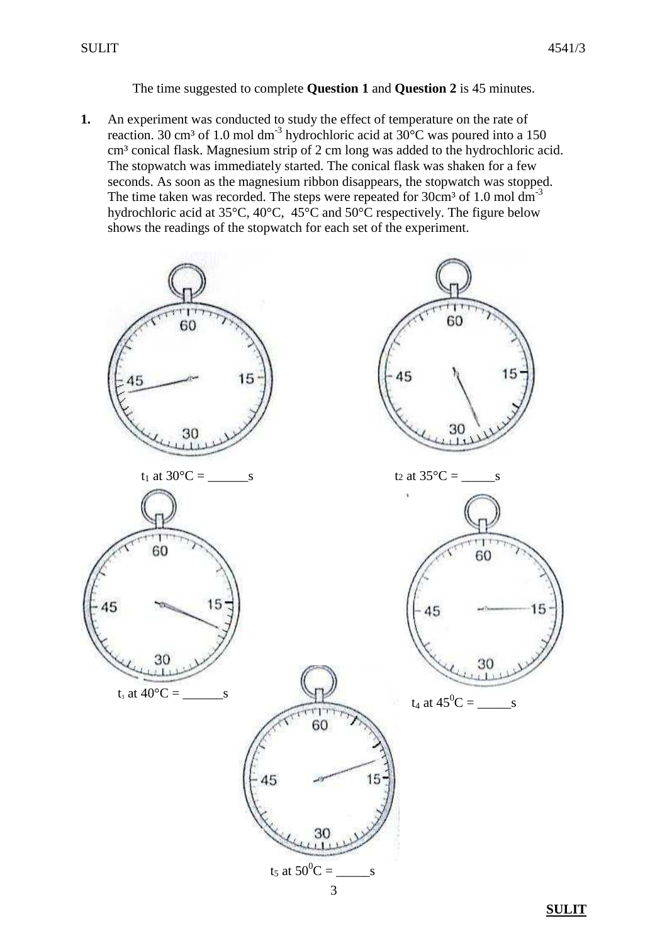The time suggested to complete **Question 1** and **Question 2** is 45 minutes.

**1.** An experiment was conducted to study the effect of temperature on the rate of reaction. 30 cm<sup>3</sup> of 1.0 mol dm<sup>-3</sup> hydrochloric acid at  $30^{\circ}$ C was poured into a 150 cm<sup>3</sup> conical flask. Magnesium strip of 2 cm long was added to the hydrochloric acid. The stopwatch was immediately started. The conical flask was shaken for a few seconds. As soon as the magnesium ribbon disappears, the stopwatch was stopped. The time taken was recorded. The steps were repeated for  $30 \text{cm}^3$  of 1.0 mol dm<sup>-3</sup> hydrochloric acid at 35°C, 40°C, 45°C and 50°C respectively. The figure below shows the readings of the stopwatch for each set of the experiment.

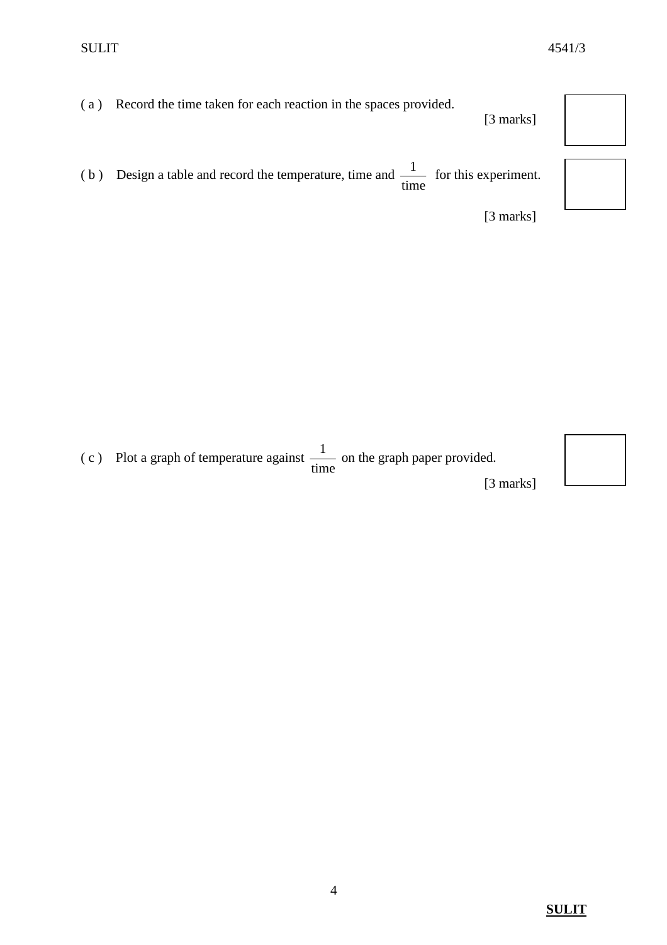|     | (a) Record the time taken for each reaction in the spaces provided.<br>[3 marks]                 |  |
|-----|--------------------------------------------------------------------------------------------------|--|
| (b) | Design a table and record the temperature, time and $\frac{1}{\text{time}}$ for this experiment. |  |
|     | [3 marks]                                                                                        |  |
|     |                                                                                                  |  |
|     |                                                                                                  |  |
|     |                                                                                                  |  |
|     |                                                                                                  |  |
|     |                                                                                                  |  |
|     |                                                                                                  |  |
|     |                                                                                                  |  |
|     | 1                                                                                                |  |

( c ) Plot a graph of temperature against time  $\frac{1}{2}$  on the graph paper provided.

[3 marks]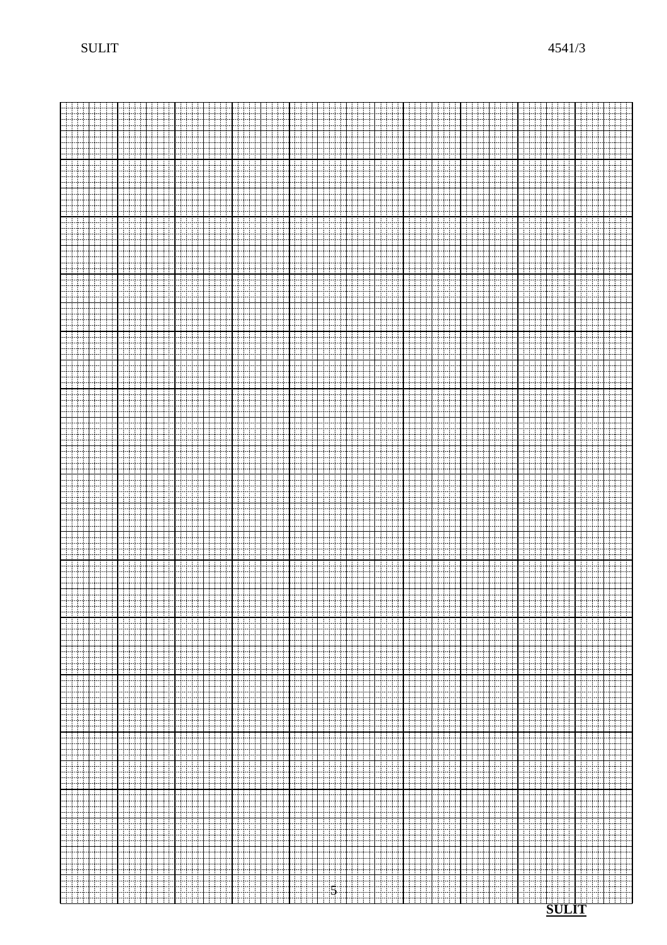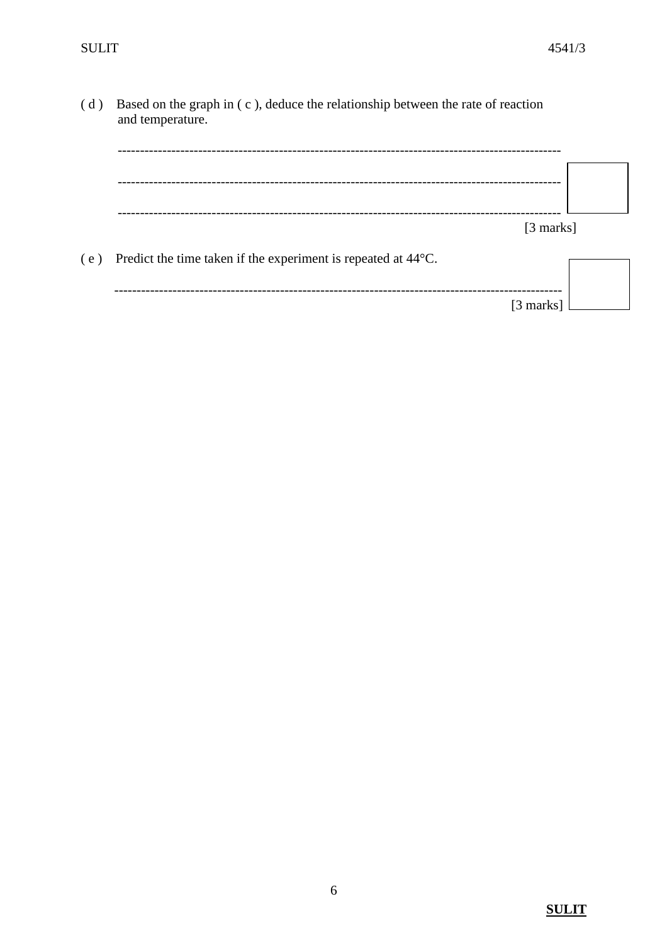(d) Based on the graph in (c), deduce the relationship between the rate of reaction and temperature.

|     |                                                                         | [3 marks] |  |
|-----|-------------------------------------------------------------------------|-----------|--|
| (e) | Predict the time taken if the experiment is repeated at $44^{\circ}$ C. |           |  |
|     |                                                                         | [3 marks] |  |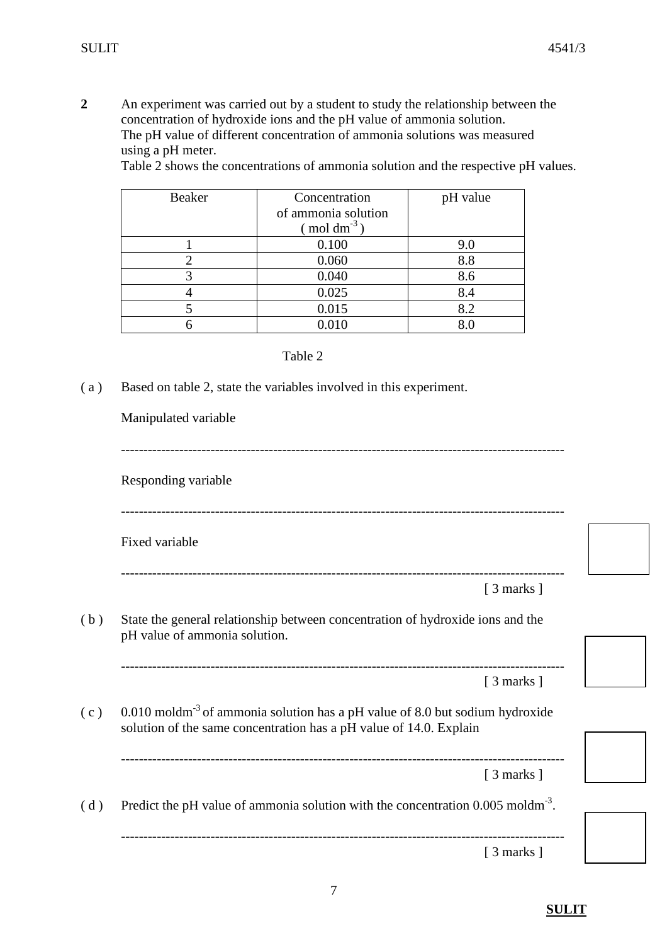**2** An experiment was carried out by a student to study the relationship between the concentration of hydroxide ions and the pH value of ammonia solution. The pH value of different concentration of ammonia solutions was measured using a pH meter.

Table 2 shows the concentrations of ammonia solution and the respective pH values.

| <b>Beaker</b> | Concentration          | pH value |
|---------------|------------------------|----------|
|               | of ammonia solution    |          |
|               | $\text{ (mol dm}^{-3}$ |          |
|               | 0.100                  | 9.0      |
|               | 0.060                  | 8.8      |
|               | 0.040                  | 8.6      |
|               | 0.025                  | 8.4      |
|               | 0.015                  | 8.2      |
|               | 0 01 O                 |          |



( a ) Based on table 2, state the variables involved in this experiment.

Manipulated variable

---------------------------------------------------------------------------------------------------

---------------------------------------------------------------------------------------------------

Responding variable

---------------------------------------------------------------------------------------------------

Fixed variable

[ 3 marks ]

( b ) State the general relationship between concentration of hydroxide ions and the pH value of ammonia solution.

 --------------------------------------------------------------------------------------------------- [ 3 marks ]

(c) 0.010 moldm<sup>-3</sup> of ammonia solution has a pH value of 8.0 but sodium hydroxide solution of the same concentration has a pH value of 14.0. Explain

(d) Predict the pH value of ammonia solution with the concentration 0.005 moldm<sup>-3</sup>.

---------------------------------------------------------------------------------------------------

[ 3 marks ]

[ 3 marks ]

**SULIT**